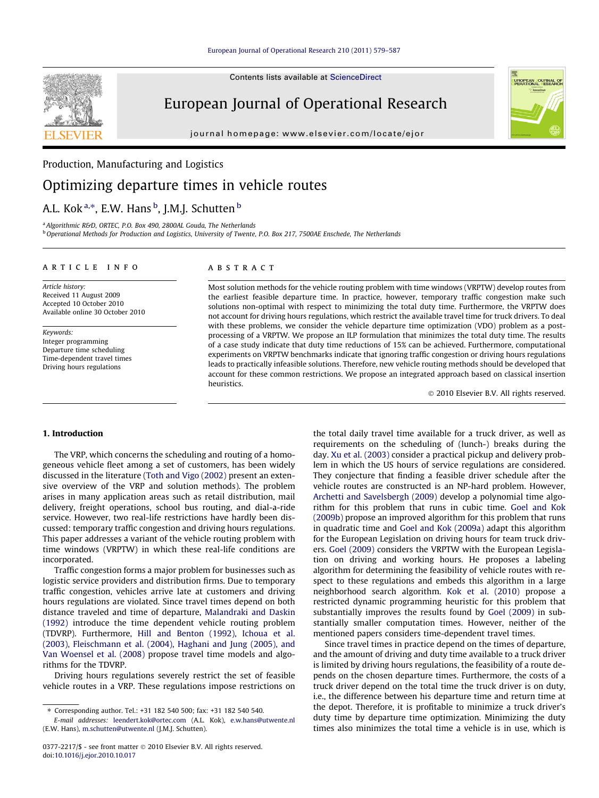Contents lists available at [ScienceDirect](http://www.sciencedirect.com/science/journal/03772217)

# European Journal of Operational Research

journal homepage: [www.elsevier.com/locate/ejor](http://www.elsevier.com/locate/ejor)



## Production, Manufacturing and Logistics

## Optimizing departure times in vehicle routes

## A.L. Kok <sup>a,</sup>\*, E.W. Hans <sup>b</sup>, J.M.J. Schutten <sup>b</sup>

<sup>a</sup> Algorithmic R&D, ORTEC, P.O. Box 490, 2800AL Gouda, The Netherlands  $b$  Operational Methods for Production and Logistics, University of Twente, P.O. Box 217, 7500AE Enschede, The Netherlands

## article info

Article history: Received 11 August 2009 Accepted 10 October 2010 Available online 30 October 2010

Keywords: Integer programming Departure time scheduling Time-dependent travel times Driving hours regulations

## **ABSTRACT**

Most solution methods for the vehicle routing problem with time windows (VRPTW) develop routes from the earliest feasible departure time. In practice, however, temporary traffic congestion make such solutions non-optimal with respect to minimizing the total duty time. Furthermore, the VRPTW does not account for driving hours regulations, which restrict the available travel time for truck drivers. To deal with these problems, we consider the vehicle departure time optimization (VDO) problem as a postprocessing of a VRPTW. We propose an ILP formulation that minimizes the total duty time. The results of a case study indicate that duty time reductions of 15% can be achieved. Furthermore, computational experiments on VRPTW benchmarks indicate that ignoring traffic congestion or driving hours regulations leads to practically infeasible solutions. Therefore, new vehicle routing methods should be developed that account for these common restrictions. We propose an integrated approach based on classical insertion heuristics.

© 2010 Elsevier B.V. All rights reserved.

## 1. Introduction

The VRP, which concerns the scheduling and routing of a homogeneous vehicle fleet among a set of customers, has been widely discussed in the literature ([Toth and Vigo \(2002\)](#page-8-0) present an extensive overview of the VRP and solution methods). The problem arises in many application areas such as retail distribution, mail delivery, freight operations, school bus routing, and dial-a-ride service. However, two real-life restrictions have hardly been discussed: temporary traffic congestion and driving hours regulations. This paper addresses a variant of the vehicle routing problem with time windows (VRPTW) in which these real-life conditions are incorporated.

Traffic congestion forms a major problem for businesses such as logistic service providers and distribution firms. Due to temporary traffic congestion, vehicles arrive late at customers and driving hours regulations are violated. Since travel times depend on both distance traveled and time of departure, [Malandraki and Daskin](#page-8-0) [\(1992\)](#page-8-0) introduce the time dependent vehicle routing problem (TDVRP). Furthermore, [Hill and Benton \(1992\), Ichoua et al.](#page-8-0) [\(2003\), Fleischmann et al. \(2004\), Haghani and Jung \(2005\), and](#page-8-0) [Van Woensel et al. \(2008\)](#page-8-0) propose travel time models and algorithms for the TDVRP.

Driving hours regulations severely restrict the set of feasible vehicle routes in a VRP. These regulations impose restrictions on the total daily travel time available for a truck driver, as well as requirements on the scheduling of (lunch-) breaks during the day. [Xu et al. \(2003\)](#page-8-0) consider a practical pickup and delivery problem in which the US hours of service regulations are considered. They conjecture that finding a feasible driver schedule after the vehicle routes are constructed is an NP-hard problem. However, [Archetti and Savelsbergh \(2009\)](#page-8-0) develop a polynomial time algorithm for this problem that runs in cubic time. [Goel and Kok](#page-8-0) [\(2009b\)](#page-8-0) propose an improved algorithm for this problem that runs in quadratic time and [Goel and Kok \(2009a\)](#page-8-0) adapt this algorithm for the European Legislation on driving hours for team truck drivers. [Goel \(2009\)](#page-8-0) considers the VRPTW with the European Legislation on driving and working hours. He proposes a labeling algorithm for determining the feasibility of vehicle routes with respect to these regulations and embeds this algorithm in a large neighborhood search algorithm. [Kok et al. \(2010\)](#page-8-0) propose a restricted dynamic programming heuristic for this problem that substantially improves the results found by [Goel \(2009\)](#page-8-0) in substantially smaller computation times. However, neither of the mentioned papers considers time-dependent travel times.

Since travel times in practice depend on the times of departure, and the amount of driving and duty time available to a truck driver is limited by driving hours regulations, the feasibility of a route depends on the chosen departure times. Furthermore, the costs of a truck driver depend on the total time the truck driver is on duty, i.e., the difference between his departure time and return time at the depot. Therefore, it is profitable to minimize a truck driver's duty time by departure time optimization. Minimizing the duty times also minimizes the total time a vehicle is in use, which is

<sup>⇑</sup> Corresponding author. Tel.: +31 182 540 500; fax: +31 182 540 540.

E-mail addresses: [leendert.kok@ortec.com](mailto:leendert.kok@ortec.com) (A.L. Kok), [e.w.hans@utwente.nl](mailto:e.w.hans@utwente.nl) (E.W. Hans), [m.schutten@utwente.nl](mailto:m.schutten@utwente.nl) (J.M.J. Schutten).

<sup>0377-2217/\$ -</sup> see front matter © 2010 Elsevier B.V. All rights reserved. doi[:10.1016/j.ejor.2010.10.017](http://dx.doi.org/10.1016/j.ejor.2010.10.017)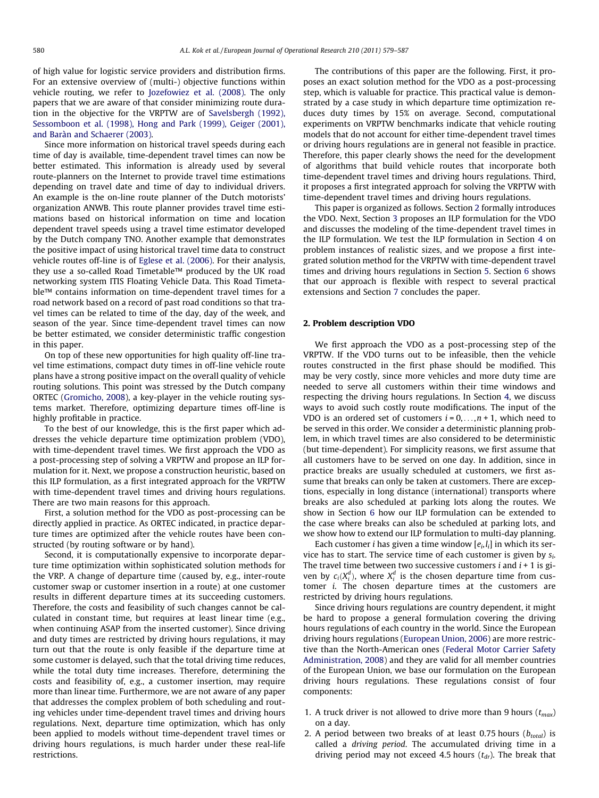of high value for logistic service providers and distribution firms. For an extensive overview of (multi-) objective functions within vehicle routing, we refer to [Jozefowiez et al. \(2008\).](#page-8-0) The only papers that we are aware of that consider minimizing route duration in the objective for the VRPTW are of [Savelsbergh \(1992\),](#page-8-0) [Sessomboon et al. \(1998\), Hong and Park \(1999\), Geiger \(2001\),](#page-8-0) [and Baràn and Schaerer \(2003\).](#page-8-0)

Since more information on historical travel speeds during each time of day is available, time-dependent travel times can now be better estimated. This information is already used by several route-planners on the Internet to provide travel time estimations depending on travel date and time of day to individual drivers. An example is the on-line route planner of the Dutch motorists' organization ANWB. This route planner provides travel time estimations based on historical information on time and location dependent travel speeds using a travel time estimator developed by the Dutch company TNO. Another example that demonstrates the positive impact of using historical travel time data to construct vehicle routes off-line is of [Eglese et al. \(2006\)](#page-8-0). For their analysis, they use a so-called Road Timetable™ produced by the UK road networking system ITIS Floating Vehicle Data. This Road Timetable™ contains information on time-dependent travel times for a road network based on a record of past road conditions so that travel times can be related to time of the day, day of the week, and season of the year. Since time-dependent travel times can now be better estimated, we consider deterministic traffic congestion in this paper.

On top of these new opportunities for high quality off-line travel time estimations, compact duty times in off-line vehicle route plans have a strong positive impact on the overall quality of vehicle routing solutions. This point was stressed by the Dutch company ORTEC ([Gromicho, 2008\)](#page-8-0), a key-player in the vehicle routing systems market. Therefore, optimizing departure times off-line is highly profitable in practice.

To the best of our knowledge, this is the first paper which addresses the vehicle departure time optimization problem (VDO), with time-dependent travel times. We first approach the VDO as a post-processing step of solving a VRPTW and propose an ILP formulation for it. Next, we propose a construction heuristic, based on this ILP formulation, as a first integrated approach for the VRPTW with time-dependent travel times and driving hours regulations. There are two main reasons for this approach.

First, a solution method for the VDO as post-processing can be directly applied in practice. As ORTEC indicated, in practice departure times are optimized after the vehicle routes have been constructed (by routing software or by hand).

Second, it is computationally expensive to incorporate departure time optimization within sophisticated solution methods for the VRP. A change of departure time (caused by, e.g., inter-route customer swap or customer insertion in a route) at one customer results in different departure times at its succeeding customers. Therefore, the costs and feasibility of such changes cannot be calculated in constant time, but requires at least linear time (e.g., when continuing ASAP from the inserted customer). Since driving and duty times are restricted by driving hours regulations, it may turn out that the route is only feasible if the departure time at some customer is delayed, such that the total driving time reduces, while the total duty time increases. Therefore, determining the costs and feasibility of, e.g., a customer insertion, may require more than linear time. Furthermore, we are not aware of any paper that addresses the complex problem of both scheduling and routing vehicles under time-dependent travel times and driving hours regulations. Next, departure time optimization, which has only been applied to models without time-dependent travel times or driving hours regulations, is much harder under these real-life restrictions.

The contributions of this paper are the following. First, it proposes an exact solution method for the VDO as a post-processing step, which is valuable for practice. This practical value is demonstrated by a case study in which departure time optimization reduces duty times by 15% on average. Second, computational experiments on VRPTW benchmarks indicate that vehicle routing models that do not account for either time-dependent travel times or driving hours regulations are in general not feasible in practice. Therefore, this paper clearly shows the need for the development of algorithms that build vehicle routes that incorporate both time-dependent travel times and driving hours regulations. Third, it proposes a first integrated approach for solving the VRPTW with time-dependent travel times and driving hours regulations.

This paper is organized as follows. Section 2 formally introduces the VDO. Next, Section [3](#page-2-0) proposes an ILP formulation for the VDO and discusses the modeling of the time-dependent travel times in the ILP formulation. We test the ILP formulation in Section [4](#page-3-0) on problem instances of realistic sizes, and we propose a first integrated solution method for the VRPTW with time-dependent travel times and driving hours regulations in Section [5](#page-5-0). Section [6](#page-7-0) shows that our approach is flexible with respect to several practical extensions and Section [7](#page-7-0) concludes the paper.

## 2. Problem description VDO

We first approach the VDO as a post-processing step of the VRPTW. If the VDO turns out to be infeasible, then the vehicle routes constructed in the first phase should be modified. This may be very costly, since more vehicles and more duty time are needed to serve all customers within their time windows and respecting the driving hours regulations. In Section [4](#page-3-0), we discuss ways to avoid such costly route modifications. The input of the VDO is an ordered set of customers  $i = 0, \ldots, n + 1$ , which need to be served in this order. We consider a deterministic planning problem, in which travel times are also considered to be deterministic (but time-dependent). For simplicity reasons, we first assume that all customers have to be served on one day. In addition, since in practice breaks are usually scheduled at customers, we first assume that breaks can only be taken at customers. There are exceptions, especially in long distance (international) transports where breaks are also scheduled at parking lots along the routes. We show in Section [6](#page-7-0) how our ILP formulation can be extended to the case where breaks can also be scheduled at parking lots, and we show how to extend our ILP formulation to multi-day planning.

Each customer *i* has given a time window  $[e_i, I_i]$  in which its service has to start. The service time of each customer is given by  $s_i$ . The travel time between two successive customers  $i$  and  $i + 1$  is given by  $c_i(X_i^d)$ , where  $X_i^d$  is the chosen departure time from customer i. The chosen departure times at the customers are restricted by driving hours regulations.

Since driving hours regulations are country dependent, it might be hard to propose a general formulation covering the driving hours regulations of each country in the world. Since the European driving hours regulations [\(European Union, 2006\)](#page-8-0) are more restrictive than the North-American ones [\(Federal Motor Carrier Safety](#page-8-0) [Administration, 2008\)](#page-8-0) and they are valid for all member countries of the European Union, we base our formulation on the European driving hours regulations. These regulations consist of four components:

- 1. A truck driver is not allowed to drive more than 9 hours  $(t_{max})$ on a day.
- 2. A period between two breaks of at least 0.75 hours  $(b_{total})$  is called a driving period. The accumulated driving time in a driving period may not exceed 4.5 hours  $(t_{dr})$ . The break that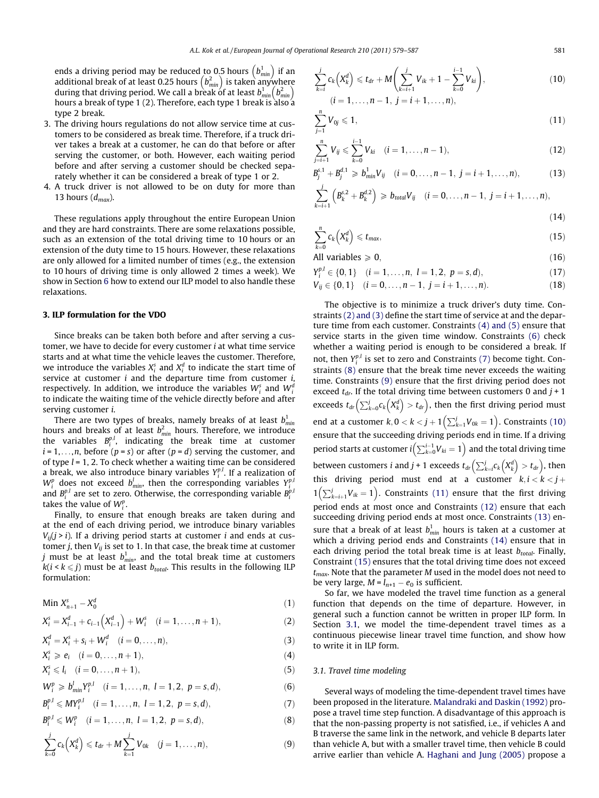<span id="page-2-0"></span>ends a driving period may be reduced to 0.5 hours  $\left( b_{min}^1 \right)$  if an additional break of at least 0.25 hours  $(b_{min}^2)$  is taken anywhere during that driving period. We call a break of at least  $b_{min}^1(b_{min}^2)$  become during that driving period. We call a break of at least  $b_{min}^1(b_{min}^2)$ hours a break of type 1 (2). Therefore, each type 1 break is also a type 2 break.

- 3. The driving hours regulations do not allow service time at customers to be considered as break time. Therefore, if a truck driver takes a break at a customer, he can do that before or after serving the customer, or both. However, each waiting period before and after serving a customer should be checked separately whether it can be considered a break of type 1 or 2.
- 4. A truck driver is not allowed to be on duty for more than 13 hours  $(d_{max})$ .

These regulations apply throughout the entire European Union and they are hard constraints. There are some relaxations possible, such as an extension of the total driving time to 10 hours or an extension of the duty time to 15 hours. However, these relaxations are only allowed for a limited number of times (e.g., the extension to 10 hours of driving time is only allowed 2 times a week). We show in Section [6](#page-7-0) how to extend our ILP model to also handle these relaxations.

## 3. ILP formulation for the VDO

Since breaks can be taken both before and after serving a customer, we have to decide for every customer i at what time service starts and at what time the vehicle leaves the customer. Therefore, we introduce the variables  $X_i^s$  and  $X_i^d$  to indicate the start time of service at customer  $i$  and the departure time from customer  $i$ , respectively. In addition, we introduce the variables  $W_i^s$  and  $W_i^d$ to indicate the waiting time of the vehicle directly before and after serving customer i.

There are two types of breaks, namely breaks of at least  $b^1_{\scriptscriptstyle\rm min}$ hours and breaks of at least  $b_{\textit{min}}^2$  hours. Therefore, we introduce the variables  $B_i^{p,l}$ , indicating the break time at customer  $i = 1, \ldots, n$ , before  $(p = s)$  or after  $(p = d)$  serving the customer, and of type  $l = 1, 2$ . To check whether a waiting time can be considered a break, we also introduce binary variables  $Y_i^{p,l}$ . If a realization of  $W_i^p$  does not exceed  $b_{min}^l$ , then the corresponding variables  $Y_i^{p,l}$ and  $B_i^{p,l}$  are set to zero. Otherwise, the corresponding variable  $B_i^{p,l}$ takes the value of  $W_i^p$ .

Finally, to ensure that enough breaks are taken during and at the end of each driving period, we introduce binary variables  $V_{ii}(j > i)$ . If a driving period starts at customer *i* and ends at customer *j*, then  $V_{ii}$  is set to 1. In that case, the break time at customer *j* must be at least  $b_{\textit{min}}^1$ , and the total break time at customers  $k(i < k \leq j)$  must be at least  $b_{total}$ . This results in the following ILP formulation:

$$
\text{Min } X_{n+1}^s - X_0^d \tag{1}
$$

$$
X_i^s = X_{i-1}^d + c_{i-1} (X_{i-1}^d) + W_i^s \quad (i = 1, \dots, n+1),
$$
 (2)

$$
X_i^d = X_i^s + s_i + W_i^d \quad (i = 0, ..., n),
$$
\n(3)

$$
X_i^s \geq e_i \quad (i = 0, \ldots, n+1), \tag{4}
$$

$$
X_i^s \leqslant l_i \quad (i = 0, \dots, n+1), \tag{5}
$$

$$
W_i^p \geq b_{\min}^l Y_i^{p,l} \quad (i = 1, \dots, n, \ l = 1, 2, \ p = s, d), \tag{6}
$$

$$
B_i^{p,l} \leqslant MY_i^{p,l} \quad (i = 1, \ldots, n, \ l = 1, 2, \ p = s, d), \tag{7}
$$

$$
B_i^{p,l} \leqslant W_i^p \quad (i = 1, \dots, n, \ l = 1, 2, \ p = s, d), \tag{8}
$$

$$
\sum_{k=0}^{j} c_k \left( X_k^d \right) \leq t_{dr} + M \sum_{k=1}^{j} V_{0k} \quad (j = 1, \ldots, n), \tag{9}
$$

$$
\sum_{k=i}^{j} c_k \left( X_k^d \right) \leq t_{dr} + M \left( \sum_{k=i+1}^{j} V_{ik} + 1 - \sum_{k=0}^{i-1} V_{ki} \right),
$$
\n
$$
(i = 1, \dots, n-1, j = i+1, \dots, n),
$$
\n(10)

$$
\sum_{j=1}^{n} V_{0j} \leqslant 1, \tag{11}
$$

$$
\sum_{j=i+1}^{n} V_{ij} \leqslant \sum_{k=0}^{i-1} V_{ki} \quad (i=1,\ldots,n-1),
$$
\n(12)

$$
B_j^{s,1} + B_j^{d,1} \geq b_{\min}^1 V_{ij} \quad (i = 0, \dots, n-1, \ j = i+1, \dots, n), \tag{13}
$$

$$
\sum_{k=i+1}^{j} \left( B_{k}^{s,2} + B_{k}^{d,2} \right) \geq b_{total} V_{ij} \quad (i = 0, \ldots, n-1, \ j = i+1, \ldots, n), \tag{14}
$$

$$
\frac{n}{(14)}
$$

$$
\sum_{k=0}^{n} c_k \left( X_k^d \right) \leq t_{\text{max}},\tag{15}
$$

All variables  $\geqslant 0$ , (16)

$$
Y_i^{p,l} \in \{0,1\} \quad (i=1,\ldots,n, l=1,2, p=s,d), \tag{17}
$$

$$
V_{ij} \in \{0, 1\} \quad (i = 0, \dots, n - 1, \ j = i + 1, \dots, n). \tag{18}
$$

The objective is to minimize a truck driver's duty time. Constraints (2) and (3) define the start time of service at and the departure time from each customer. Constraints (4) and (5) ensure that service starts in the given time window. Constraints (6) check whether a waiting period is enough to be considered a break. If not, then  $Y_i^{p,l}$  is set to zero and Constraints (7) become tight. Constraints (8) ensure that the break time never exceeds the waiting time. Constraints (9) ensure that the first driving period does not exceed  $t_{dr}$ . If the total driving time between customers 0 and  $j + 1$ exceeds  $t_{dr} \left( \sum_{k=0}^{j} c_k \left( X_k^d \right) \right)$  $\left(\sum_{k=0}^{j} c_k \left(X_k^d\right) > t_{dr}\right)$ , then the first driving period must end at a customer  $k, 0 < k < j + 1$   $(\sum_{k=1}^{j} V_{0k} = 1)$ . Constraints (10) ensure that the succeeding driving periods end in time. If a driving period starts at customer  $i\left(\sum_{k=0}^{i-1}V_{ki} = 1\right)$  and the total driving time between customers i and j + 1 exceeds  $t_{dr}\left(\sum_{k=i}^{j}c_{k}\left(X_{k}\right)\right)$  $\left(\sum_{k=i}^{j} c_k \left(X_k^d\right) > t_{dr}\right)$ , then this driving period must end at a customer  $k, i < k < j +$  $1\left(\sum_{k=i+1}^{j}V_{ik}=1\right)$ . Constraints (11) ensure that the first driving period ends at most once and Constraints (12) ensure that each succeeding driving period ends at most once. Constraints (13) ensure that a break of at least  $b_{min}^1$  hours is taken at a customer at which a driving period ends and Constraints (14) ensure that in each driving period the total break time is at least  $b_{total}$ . Finally, Constraint (15) ensures that the total driving time does not exceed  $t_{max}$ . Note that the parameter M used in the model does not need to be very large,  $M = l_{n+1} - e_0$  is sufficient.

So far, we have modeled the travel time function as a general function that depends on the time of departure. However, in general such a function cannot be written in proper ILP form. In Section 3.1, we model the time-dependent travel times as a continuous piecewise linear travel time function, and show how to write it in ILP form.

## 3.1. Travel time modeling

Several ways of modeling the time-dependent travel times have been proposed in the literature. [Malandraki and Daskin \(1992\)](#page-8-0) propose a travel time step function. A disadvantage of this approach is that the non-passing property is not satisfied, i.e., if vehicles A and B traverse the same link in the network, and vehicle B departs later than vehicle A, but with a smaller travel time, then vehicle B could arrive earlier than vehicle A. [Haghani and Jung \(2005\)](#page-8-0) propose a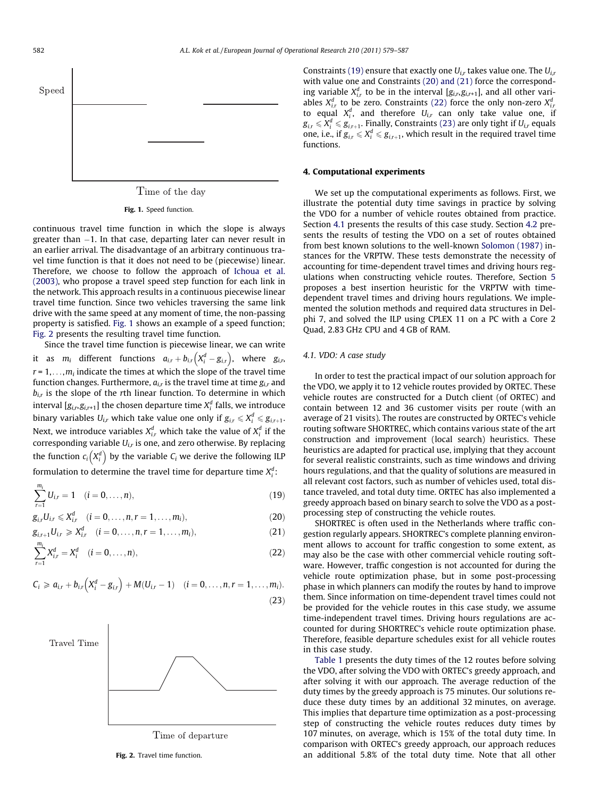<span id="page-3-0"></span>

Time of the day

Fig. 1. Speed function.

continuous travel time function in which the slope is always greater than -1. In that case, departing later can never result in an earlier arrival. The disadvantage of an arbitrary continuous travel time function is that it does not need to be (piecewise) linear. Therefore, we choose to follow the approach of [Ichoua et al.](#page-8-0) [\(2003\),](#page-8-0) who propose a travel speed step function for each link in the network. This approach results in a continuous piecewise linear travel time function. Since two vehicles traversing the same link drive with the same speed at any moment of time, the non-passing property is satisfied. Fig. 1 shows an example of a speed function; Fig. 2 presents the resulting travel time function.

Since the travel time function is piecewise linear, we can write it as  $m_i$  different functions  $a_{i,r} + b_{i,r} (X_i^d - g_{i,r})$ , where  $g_{i,r}$  $r = 1, \ldots, m_i$  indicate the times at which the slope of the travel time function changes. Furthermore,  $a_{i,r}$  is the travel time at time  $g_{i,r}$  and  $b_{ir}$  is the slope of the rth linear function. To determine in which interval  $[\![g_{i,r},\!g_{i,r\text{+}1}]\!]$  the chosen departure time  $X^d_i$  falls, we introduce binary variables  $U_{i,r}$  which take value one only if  $g_{i,r} \leqslant X_i^d \leqslant g_{i,r+1}.$ Next, we introduce variables  $X_{i,r}^d$  which take the value of  $X_i^d$  if the corresponding variable  $U_{i,r}$  is one, and zero otherwise. By replacing the function  $c_i\big(X_i^d\big)$  $(X_i^d)$  by the variable  $C_i$  we derive the following ILP formulation to determine the travel time for departure time  $X_i^d$ :

$$
\sum_{r=1}^{m_i} U_{i,r} = 1 \quad (i = 0, \dots, n),
$$
\n(19)

$$
g_{i,r}U_{i,r} \leqslant X_{i,r}^d \quad (i = 0, \ldots, n, r = 1, \ldots, m_i),
$$
\n(20)

$$
g_{i,r+1}U_{i,r} \geqslant X_{i,r}^d \quad (i = 0, \ldots, n, r = 1, \ldots, m_i),
$$
\n(21)

$$
\sum_{r=1}^{m_i} X_{i,r}^d = X_i^d \quad (i = 0, \dots, n),
$$
\n(22)

$$
C_i \geq a_{i,r} + b_{i,r} (X_i^d - g_{i,r}) + M(U_{i,r} - 1) \quad (i = 0, ..., n, r = 1, ..., m_i).
$$
\n(23)



Time of departure

Fig. 2. Travel time function.

Constraints (19) ensure that exactly one  $U_{ir}$  takes value one. The  $U_{ir}$ with value one and Constraints (20) and (21) force the corresponding variable  $X_{i,r}^d$  to be in the interval  $[g_{i,r},g_{i,r+1}]$ , and all other variables  $X_{i,r}^d$  to be zero. Constraints (22) force the only non-zero  $X_{i,r}^d$ to equal  $X_i^d$ , and therefore  $U_{i,r}$  can only take value one, if  $g_{i,r} \leqslant \ X_i^d \leqslant g_{i,r+1}.$  Finally, Constraints (23) are only tight if  $U_{i,r}$  equals one, i.e., if  $g_{i,r} \leqslant X_i^d \leqslant g_{i,r+1}$ , which result in the required travel time functions.

#### 4. Computational experiments

We set up the computational experiments as follows. First, we illustrate the potential duty time savings in practice by solving the VDO for a number of vehicle routes obtained from practice. Section 4.1 presents the results of this case study. Section [4.2](#page-4-0) presents the results of testing the VDO on a set of routes obtained from best known solutions to the well-known [Solomon \(1987\)](#page-8-0) instances for the VRPTW. These tests demonstrate the necessity of accounting for time-dependent travel times and driving hours regulations when constructing vehicle routes. Therefore, Section [5](#page-5-0) proposes a best insertion heuristic for the VRPTW with timedependent travel times and driving hours regulations. We implemented the solution methods and required data structures in Delphi 7, and solved the ILP using CPLEX 11 on a PC with a Core 2 Quad, 2.83 GHz CPU and 4 GB of RAM.

## 4.1. VDO: A case study

In order to test the practical impact of our solution approach for the VDO, we apply it to 12 vehicle routes provided by ORTEC. These vehicle routes are constructed for a Dutch client (of ORTEC) and contain between 12 and 36 customer visits per route (with an average of 21 visits). The routes are constructed by ORTEC's vehicle routing software SHORTREC, which contains various state of the art construction and improvement (local search) heuristics. These heuristics are adapted for practical use, implying that they account for several realistic constraints, such as time windows and driving hours regulations, and that the quality of solutions are measured in all relevant cost factors, such as number of vehicles used, total distance traveled, and total duty time. ORTEC has also implemented a greedy approach based on binary search to solve the VDO as a postprocessing step of constructing the vehicle routes.

SHORTREC is often used in the Netherlands where traffic congestion regularly appears. SHORTREC's complete planning environment allows to account for traffic congestion to some extent, as may also be the case with other commercial vehicle routing software. However, traffic congestion is not accounted for during the vehicle route optimization phase, but in some post-processing phase in which planners can modify the routes by hand to improve them. Since information on time-dependent travel times could not be provided for the vehicle routes in this case study, we assume time-independent travel times. Driving hours regulations are accounted for during SHORTREC's vehicle route optimization phase. Therefore, feasible departure schedules exist for all vehicle routes in this case study.

[Table 1](#page-4-0) presents the duty times of the 12 routes before solving the VDO, after solving the VDO with ORTEC's greedy approach, and after solving it with our approach. The average reduction of the duty times by the greedy approach is 75 minutes. Our solutions reduce these duty times by an additional 32 minutes, on average. This implies that departure time optimization as a post-processing step of constructing the vehicle routes reduces duty times by 107 minutes, on average, which is 15% of the total duty time. In comparison with ORTEC's greedy approach, our approach reduces an additional 5.8% of the total duty time. Note that all other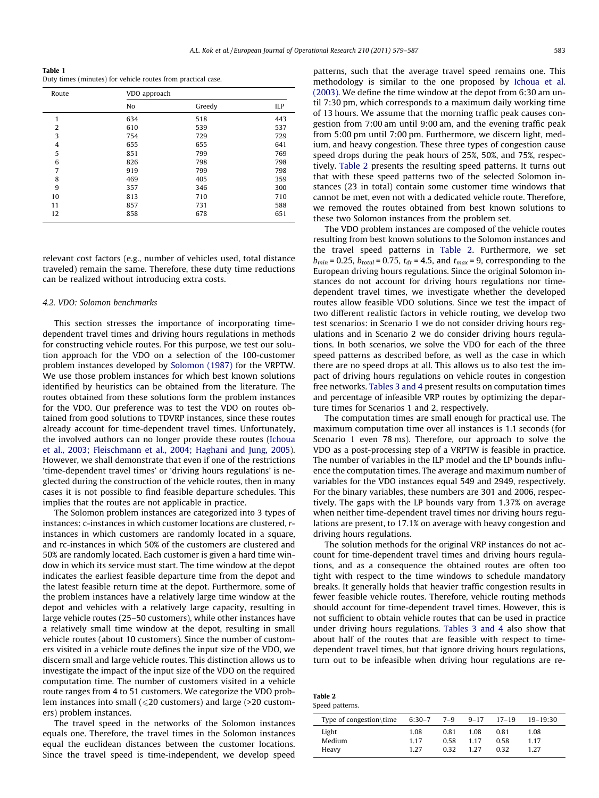<span id="page-4-0"></span>Table 1 Duty times (minutes) for vehicle routes from practical case.

| Route          | VDO approach |        |     |  |
|----------------|--------------|--------|-----|--|
|                | No           | Greedy | ILP |  |
| 1              | 634          | 518    | 443 |  |
| 2              | 610          | 539    | 537 |  |
| 3              | 754          | 729    | 729 |  |
| $\overline{4}$ | 655          | 655    | 641 |  |
| 5              | 851          | 799    | 769 |  |
| 6              | 826          | 798    | 798 |  |
| $\overline{7}$ | 919          | 799    | 798 |  |
| 8              | 469          | 405    | 359 |  |
| 9              | 357          | 346    | 300 |  |
| 10             | 813          | 710    | 710 |  |
| 11             | 857          | 731    | 588 |  |
| 12             | 858          | 678    | 651 |  |

relevant cost factors (e.g., number of vehicles used, total distance traveled) remain the same. Therefore, these duty time reductions can be realized without introducing extra costs.

#### 4.2. VDO: Solomon benchmarks

This section stresses the importance of incorporating timedependent travel times and driving hours regulations in methods for constructing vehicle routes. For this purpose, we test our solution approach for the VDO on a selection of the 100-customer problem instances developed by [Solomon \(1987\)](#page-8-0) for the VRPTW. We use those problem instances for which best known solutions identified by heuristics can be obtained from the literature. The routes obtained from these solutions form the problem instances for the VDO. Our preference was to test the VDO on routes obtained from good solutions to TDVRP instances, since these routes already account for time-dependent travel times. Unfortunately, the involved authors can no longer provide these routes [\(Ichoua](#page-8-0) [et al., 2003; Fleischmann et al., 2004; Haghani and Jung, 2005\)](#page-8-0). However, we shall demonstrate that even if one of the restrictions 'time-dependent travel times' or 'driving hours regulations' is neglected during the construction of the vehicle routes, then in many cases it is not possible to find feasible departure schedules. This implies that the routes are not applicable in practice.

The Solomon problem instances are categorized into 3 types of instances: c-instances in which customer locations are clustered, rinstances in which customers are randomly located in a square, and rc-instances in which 50% of the customers are clustered and 50% are randomly located. Each customer is given a hard time window in which its service must start. The time window at the depot indicates the earliest feasible departure time from the depot and the latest feasible return time at the depot. Furthermore, some of the problem instances have a relatively large time window at the depot and vehicles with a relatively large capacity, resulting in large vehicle routes (25–50 customers), while other instances have a relatively small time window at the depot, resulting in small vehicle routes (about 10 customers). Since the number of customers visited in a vehicle route defines the input size of the VDO, we discern small and large vehicle routes. This distinction allows us to investigate the impact of the input size of the VDO on the required computation time. The number of customers visited in a vehicle route ranges from 4 to 51 customers. We categorize the VDO problem instances into small ( $\leq$ 20 customers) and large (>20 customers) problem instances.

The travel speed in the networks of the Solomon instances equals one. Therefore, the travel times in the Solomon instances equal the euclidean distances between the customer locations. Since the travel speed is time-independent, we develop speed patterns, such that the average travel speed remains one. This methodology is similar to the one proposed by [Ichoua et al.](#page-8-0) [\(2003\)](#page-8-0). We define the time window at the depot from 6:30 am until 7:30 pm, which corresponds to a maximum daily working time of 13 hours. We assume that the morning traffic peak causes congestion from 7:00 am until 9:00 am, and the evening traffic peak from 5:00 pm until 7:00 pm. Furthermore, we discern light, medium, and heavy congestion. These three types of congestion cause speed drops during the peak hours of 25%, 50%, and 75%, respectively. Table 2 presents the resulting speed patterns. It turns out that with these speed patterns two of the selected Solomon instances (23 in total) contain some customer time windows that cannot be met, even not with a dedicated vehicle route. Therefore, we removed the routes obtained from best known solutions to these two Solomon instances from the problem set.

The VDO problem instances are composed of the vehicle routes resulting from best known solutions to the Solomon instances and the travel speed patterns in Table 2. Furthermore, we set  $b_{min}$  = 0.25,  $b_{total}$  = 0.75,  $t_{dr}$  = 4.5, and  $t_{max}$  = 9, corresponding to the European driving hours regulations. Since the original Solomon instances do not account for driving hours regulations nor timedependent travel times, we investigate whether the developed routes allow feasible VDO solutions. Since we test the impact of two different realistic factors in vehicle routing, we develop two test scenarios: in Scenario 1 we do not consider driving hours regulations and in Scenario 2 we do consider driving hours regulations. In both scenarios, we solve the VDO for each of the three speed patterns as described before, as well as the case in which there are no speed drops at all. This allows us to also test the impact of driving hours regulations on vehicle routes in congestion free networks. [Tables 3 and 4](#page-5-0) present results on computation times and percentage of infeasible VRP routes by optimizing the departure times for Scenarios 1 and 2, respectively.

The computation times are small enough for practical use. The maximum computation time over all instances is 1.1 seconds (for Scenario 1 even 78 ms). Therefore, our approach to solve the VDO as a post-processing step of a VRPTW is feasible in practice. The number of variables in the ILP model and the LP bounds influence the computation times. The average and maximum number of variables for the VDO instances equal 549 and 2949, respectively. For the binary variables, these numbers are 301 and 2006, respectively. The gaps with the LP bounds vary from 1.37% on average when neither time-dependent travel times nor driving hours regulations are present, to 17.1% on average with heavy congestion and driving hours regulations.

The solution methods for the original VRP instances do not account for time-dependent travel times and driving hours regulations, and as a consequence the obtained routes are often too tight with respect to the time windows to schedule mandatory breaks. It generally holds that heavier traffic congestion results in fewer feasible vehicle routes. Therefore, vehicle routing methods should account for time-dependent travel times. However, this is not sufficient to obtain vehicle routes that can be used in practice under driving hours regulations. [Tables 3 and 4](#page-5-0) also show that about half of the routes that are feasible with respect to timedependent travel times, but that ignore driving hours regulations, turn out to be infeasible when driving hour regulations are re-

| Table 2 |                 |
|---------|-----------------|
|         | Speed patterns. |

| Type of congestion $\time$ | 6:30-7 7-9 |      | $9 - 17$ | $17-19$ | $19 - 19:30$ |
|----------------------------|------------|------|----------|---------|--------------|
| Light                      | 1.08       | 0.81 | 1.08     | 0.81    | 1.08         |
| Medium                     | 1.17       | 0.58 | 1 1 7    | 0.58    | 1.17         |
| Heavy                      | 1.27       | 0.32 | 1 2 7    | 0.32    | 1.27         |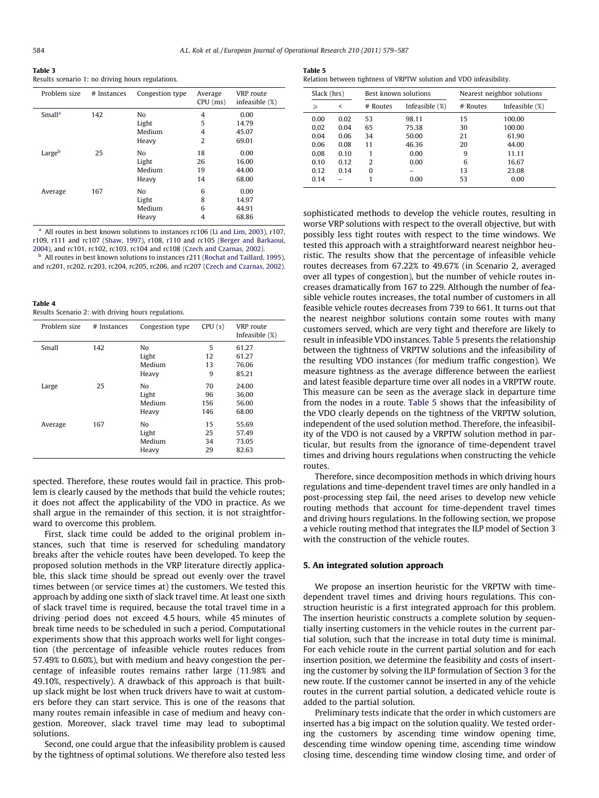<span id="page-5-0"></span>

|--|--|

Table 4

Results scenario 1: no driving hours regulations.

| Problem size       | # Instances | Congestion type | Average<br>$CPU$ (ms) | VRP route<br>infeasible (%) |
|--------------------|-------------|-----------------|-----------------------|-----------------------------|
| Small <sup>a</sup> | 142         | No              | 4                     | 0.00                        |
|                    |             | Light           | 5                     | 14.79                       |
|                    |             | Medium          | 4                     | 45.07                       |
|                    |             | Heavy           | $\overline{2}$        | 69.01                       |
| Largeb             | 25          | N <sub>0</sub>  | 18                    | 0.00                        |
|                    |             | Light           | 26                    | 16.00                       |
|                    |             | Medium          | 19                    | 44.00                       |
|                    |             | Heavy           | 14                    | 68.00                       |
| Average            | 167         | No              | 6                     | 0.00                        |
|                    |             | Light           | 8                     | 14.97                       |
|                    |             | Medium          | 6                     | 44.91                       |
|                    |             | Heavy           | 4                     | 68.86                       |

<sup>a</sup> All routes in best known solutions to instances rc106 ([Li and Lim, 2003](#page-8-0)), r107, r109, r111 and rc107 ([Shaw, 1997\)](#page-8-0), r108, r110 and rc105 [\(Berger and Barkaoui,](#page-8-0) [2004\)](#page-8-0), and rc101, rc102, rc103, rc104 and rc108 [\(Czech and Czarnas, 2002\)](#page-8-0).

b All routes in best known solutions to instances r211 ([Rochat and Taillard, 1995\)](#page-8-0), and rc201, rc202, rc203, rc204, rc205, rc206, and rc207 ([Czech and Czarnas, 2002\)](#page-8-0).

| таше ч                                              |  |
|-----------------------------------------------------|--|
| Results Scenario 2: with driving hours regulations. |  |

| Problem size | # Instances | Congestion type | CPU(s) | VRP route<br>Infeasible $(\%)$ |
|--------------|-------------|-----------------|--------|--------------------------------|
| Small        | 142         | No              | 5      | 61.27                          |
|              |             | Light           | 12     | 61.27                          |
|              |             | Medium          | 13     | 76.06                          |
|              |             | Heavy           | 9      | 85.21                          |
| Large        | 25          | N <sub>0</sub>  | 70     | 24.00                          |
|              |             | Light           | 96     | 36.00                          |
|              |             | Medium          | 156    | 56.00                          |
|              |             | Heavy           | 146    | 68.00                          |
| Average      | 167         | No              | 15     | 55.69                          |
|              |             | Light           | 25     | 57.49                          |
|              |             | Medium          | 34     | 73.05                          |
|              |             | Heavy           | 29     | 82.63                          |

spected. Therefore, these routes would fail in practice. This problem is clearly caused by the methods that build the vehicle routes; it does not affect the applicability of the VDO in practice. As we shall argue in the remainder of this section, it is not straightforward to overcome this problem.

First, slack time could be added to the original problem instances, such that time is reserved for scheduling mandatory breaks after the vehicle routes have been developed. To keep the proposed solution methods in the VRP literature directly applicable, this slack time should be spread out evenly over the travel times between (or service times at) the customers. We tested this approach by adding one sixth of slack travel time. At least one sixth of slack travel time is required, because the total travel time in a driving period does not exceed 4.5 hours, while 45 minutes of break time needs to be scheduled in such a period. Computational experiments show that this approach works well for light congestion (the percentage of infeasible vehicle routes reduces from 57.49% to 0.60%), but with medium and heavy congestion the percentage of infeasible routes remains rather large (11.98% and 49.10%, respectively). A drawback of this approach is that builtup slack might be lost when truck drivers have to wait at customers before they can start service. This is one of the reasons that many routes remain infeasible in case of medium and heavy congestion. Moreover, slack travel time may lead to suboptimal solutions.

Second, one could argue that the infeasibility problem is caused by the tightness of optimal solutions. We therefore also tested less

| Table 5                                                            |  |  |
|--------------------------------------------------------------------|--|--|
| Relation between tightness of VRPTW solution and VDO infeasibility |  |  |

| Slack (hrs) |      | Best known solutions |                   | Nearest neighbor solutions |                   |  |
|-------------|------|----------------------|-------------------|----------------------------|-------------------|--|
| ≥           | ≺    | # Routes             | Infeasible $(\%)$ |                            | Infeasible $(\%)$ |  |
| 0.00        | 0.02 | 53                   | 98.11             | 15                         | 100.00            |  |
| 0.02        | 0.04 | 65                   | 75.38             | 30                         | 100.00            |  |
| 0.04        | 0.06 | 34                   | 50.00             | 21                         | 61.90             |  |
| 0.06        | 0.08 | 11                   | 46.36             | 20                         | 44.00             |  |
| 0.08        | 0.10 |                      | 0.00              | 9                          | 11.11             |  |
| 0.10        | 0.12 | $\mathcal{P}$        | 0.00              | 6                          | 16.67             |  |
| 0.12        | 0.14 | O                    |                   | 13                         | 23.08             |  |
| 0.14        |      |                      | 0.00              | 53                         | 0.00              |  |

sophisticated methods to develop the vehicle routes, resulting in worse VRP solutions with respect to the overall objective, but with possibly less tight routes with respect to the time windows. We tested this approach with a straightforward nearest neighbor heuristic. The results show that the percentage of infeasible vehicle routes decreases from 67.22% to 49.67% (in Scenario 2, averaged over all types of congestion), but the number of vehicle routes increases dramatically from 167 to 229. Although the number of feasible vehicle routes increases, the total number of customers in all feasible vehicle routes decreases from 739 to 661. It turns out that the nearest neighbor solutions contain some routes with many customers served, which are very tight and therefore are likely to result in infeasible VDO instances. Table 5 presents the relationship between the tightness of VRPTW solutions and the infeasibility of the resulting VDO instances (for medium traffic congestion). We measure tightness as the average difference between the earliest and latest feasible departure time over all nodes in a VRPTW route. This measure can be seen as the average slack in departure time from the nodes in a route. Table 5 shows that the infeasibility of the VDO clearly depends on the tightness of the VRPTW solution, independent of the used solution method. Therefore, the infeasibility of the VDO is not caused by a VRPTW solution method in particular, but results from the ignorance of time-dependent travel times and driving hours regulations when constructing the vehicle routes.

Therefore, since decomposition methods in which driving hours regulations and time-dependent travel times are only handled in a post-processing step fail, the need arises to develop new vehicle routing methods that account for time-dependent travel times and driving hours regulations. In the following section, we propose a vehicle routing method that integrates the ILP model of Section [3](#page-2-0) with the construction of the vehicle routes.

## 5. An integrated solution approach

We propose an insertion heuristic for the VRPTW with timedependent travel times and driving hours regulations. This construction heuristic is a first integrated approach for this problem. The insertion heuristic constructs a complete solution by sequentially inserting customers in the vehicle routes in the current partial solution, such that the increase in total duty time is minimal. For each vehicle route in the current partial solution and for each insertion position, we determine the feasibility and costs of inserting the customer by solving the ILP formulation of Section [3](#page-2-0) for the new route. If the customer cannot be inserted in any of the vehicle routes in the current partial solution, a dedicated vehicle route is added to the partial solution.

Preliminary tests indicate that the order in which customers are inserted has a big impact on the solution quality. We tested ordering the customers by ascending time window opening time, descending time window opening time, ascending time window closing time, descending time window closing time, and order of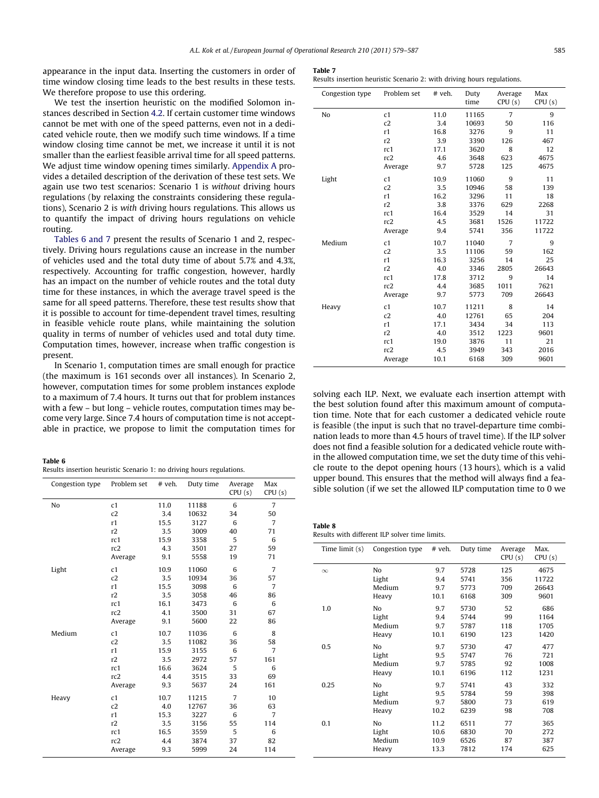<span id="page-6-0"></span>appearance in the input data. Inserting the customers in order of time window closing time leads to the best results in these tests. We therefore propose to use this ordering.

We test the insertion heuristic on the modified Solomon instances described in Section [4.2.](#page-4-0) If certain customer time windows cannot be met with one of the speed patterns, even not in a dedicated vehicle route, then we modify such time windows. If a time window closing time cannot be met, we increase it until it is not smaller than the earliest feasible arrival time for all speed patterns. We adjust time window opening times similarly. [Appendix A](#page-8-0) provides a detailed description of the derivation of these test sets. We again use two test scenarios: Scenario 1 is without driving hours regulations (by relaxing the constraints considering these regulations), Scenario 2 is with driving hours regulations. This allows us to quantify the impact of driving hours regulations on vehicle routing.

Tables 6 and 7 present the results of Scenario 1 and 2, respectively. Driving hours regulations cause an increase in the number of vehicles used and the total duty time of about 5.7% and 4.3%, respectively. Accounting for traffic congestion, however, hardly has an impact on the number of vehicle routes and the total duty time for these instances, in which the average travel speed is the same for all speed patterns. Therefore, these test results show that it is possible to account for time-dependent travel times, resulting in feasible vehicle route plans, while maintaining the solution quality in terms of number of vehicles used and total duty time. Computation times, however, increase when traffic congestion is present.

In Scenario 1, computation times are small enough for practice (the maximum is 161 seconds over all instances). In Scenario 2, however, computation times for some problem instances explode to a maximum of 7.4 hours. It turns out that for problem instances with a few – but long – vehicle routes, computation times may become very large. Since 7.4 hours of computation time is not acceptable in practice, we propose to limit the computation times for

#### Table 6

|  |  |  | Results insertion heuristic Scenario 1: no driving hours regulations. |  |  |  |  |  |  |  |  |
|--|--|--|-----------------------------------------------------------------------|--|--|--|--|--|--|--|--|
|--|--|--|-----------------------------------------------------------------------|--|--|--|--|--|--|--|--|

| Congestion type | Problem set     | # veh. | Duty time | Average<br>CPU(s) | Max<br>CPU(s)  |  |
|-----------------|-----------------|--------|-----------|-------------------|----------------|--|
| No              | c1              | 11.0   | 11188     | 6                 | 7              |  |
|                 | c2              | 3.4    | 10632     | 34                | 50             |  |
|                 | r1              | 15.5   | 3127      | 6                 | $\overline{7}$ |  |
|                 | r2              | 3.5    | 3009      | 40                | 71             |  |
|                 | rc1             | 15.9   | 3358      | 5                 | 6              |  |
|                 | rc <sub>2</sub> | 4.3    | 3501      | 27                | 59             |  |
|                 | Average         | 9.1    | 5558      | 19                | 71             |  |
| Light           | c1              | 10.9   | 11060     | 6                 | $\overline{7}$ |  |
|                 | c2              | 3.5    | 10934     | 36                | 57             |  |
|                 | r1              | 15.5   | 3098      | 6                 | $\overline{7}$ |  |
|                 | r2              | 3.5    | 3058      | 46                | 86             |  |
|                 | rc1             | 16.1   | 3473      | 6                 | 6              |  |
|                 | rc2             | 4.1    | 3500      | 31                | 67             |  |
|                 | Average         | 9.1    | 5600      | 22                | 86             |  |
| Medium          | c1              | 10.7   | 11036     | 6                 | 8              |  |
|                 | c2              | 3.5    | 11082     | 36                | 58             |  |
|                 | r1              | 15.9   | 3155      | 6                 | $\overline{7}$ |  |
|                 | r2              | 3.5    | 2972      | 57                | 161            |  |
|                 | rc1             | 16.6   | 3624      | 5                 | 6              |  |
|                 | rc2             | 4.4    | 3515      | 33                | 69             |  |
|                 | Average         | 9.3    | 5637      | 24                | 161            |  |
| Heavy           | c1              | 10.7   | 11215     | $\overline{7}$    | 10             |  |
|                 | c2              | 4.0    | 12767     | 36                | 63             |  |
|                 | r1              | 15.3   | 3227      | 6                 | $\overline{7}$ |  |
|                 | r2              | 3.5    | 3156      | 55                | 114            |  |
|                 | rc1             | 16.5   | 3559      | 5                 | 6              |  |
|                 | rc2             | 4.4    | 3874      | 37                | 82             |  |
|                 | Average         | 9.3    | 5999      | 24                | 114            |  |

|  |  |  | Results insertion heuristic Scenario 2: with driving hours regulations. |
|--|--|--|-------------------------------------------------------------------------|
|  |  |  |                                                                         |

| Congestion type | Problem set     | # veh. | Duty<br>time | Average<br>CPU(s) | Max<br>CPU(s) |
|-----------------|-----------------|--------|--------------|-------------------|---------------|
|                 |                 |        |              |                   |               |
| No              | c1              | 11.0   | 11165        | $\overline{7}$    | 9             |
|                 | c2              | 3.4    | 10693        | 50                | 116           |
|                 | r1              | 16.8   | 3276         | 9                 | 11            |
|                 | r2              | 3.9    | 3390         | 126               | 467           |
|                 | rc1             | 17.1   | 3620         | 8                 | 12            |
|                 | rc2             | 4.6    | 3648         | 623               | 4675          |
|                 | Average         | 9.7    | 5728         | 125               | 4675          |
| Light           | c1              | 10.9   | 11060        | 9                 | 11            |
|                 | c2              | 3.5    | 10946        | 58                | 139           |
|                 | r1              | 16.2   | 3296         | 11                | 18            |
|                 | r2              | 3.8    | 3376         | 629               | 2268          |
|                 | rc1             | 16.4   | 3529         | 14                | 31            |
|                 | rc <sub>2</sub> | 4.5    | 3681         | 1526              | 11722         |
|                 | Average         | 9.4    | 5741         | 356               | 11722         |
| Medium          | c1              | 10.7   | 11040        | 7                 | 9             |
|                 | c2              | 3.5    | 11106        | 59                | 162           |
|                 | r1              | 16.3   | 3256         | 14                | 25            |
|                 | r2              | 4.0    | 3346         | 2805              | 26643         |
|                 | rc1             | 17.8   | 3712         | 9                 | 14            |
|                 | rc2             | 4.4    | 3685         | 1011              | 7621          |
|                 | Average         | 9.7    | 5773         | 709               | 26643         |
| Heavy           | c1              | 10.7   | 11211        | 8                 | 14            |
|                 | c2              | 4.0    | 12761        | 65                | 204           |
|                 | r1              | 17.1   | 3434         | 34                | 113           |
|                 | r2              | 4.0    | 3512         | 1223              | 9601          |
|                 | rc1             | 19.0   | 3876         | 11                | 21            |
|                 | rc2             | 4.5    | 3949         | 343               | 2016          |
|                 | Average         | 10.1   | 6168         | 309               | 9601          |

solving each ILP. Next, we evaluate each insertion attempt with the best solution found after this maximum amount of computation time. Note that for each customer a dedicated vehicle route is feasible (the input is such that no travel-departure time combination leads to more than 4.5 hours of travel time). If the ILP solver does not find a feasible solution for a dedicated vehicle route within the allowed computation time, we set the duty time of this vehicle route to the depot opening hours (13 hours), which is a valid upper bound. This ensures that the method will always find a feasible solution (if we set the allowed ILP computation time to 0 we

| Table 8 |                                                |  |  |
|---------|------------------------------------------------|--|--|
|         | Results with different ILP solver time limits. |  |  |

| Time limit (s) | Congestion type | # veh. | Duty time | Average<br>CPU(s) | Max.<br>CPU(s) |
|----------------|-----------------|--------|-----------|-------------------|----------------|
| $\infty$       | No              | 9.7    | 5728      | 125               | 4675           |
|                | Light           | 9.4    | 5741      | 356               | 11722          |
|                | Medium          | 9.7    | 5773      | 709               | 26643          |
|                | Heavy           | 10.1   | 6168      | 309               | 9601           |
| 1.0            | No              | 9.7    | 5730      | 52                | 686            |
|                | Light           | 9.4    | 5744      | 99                | 1164           |
|                | Medium          | 9.7    | 5787      | 118               | 1705           |
|                | Heavy           | 10.1   | 6190      | 123               | 1420           |
| 0.5            | No              | 9.7    | 5730      | 47                | 477            |
|                | Light           | 9.5    | 5747      | 76                | 721            |
|                | Medium          | 9.7    | 5785      | 92                | 1008           |
|                | Heavy           | 10.1   | 6196      | 112               | 1231           |
| 0.25           | No              | 9.7    | 5741      | 43                | 332            |
|                | Light           | 9.5    | 5784      | 59                | 398            |
|                | Medium          | 9.7    | 5800      | 73                | 619            |
|                | Heavy           | 10.2   | 6239      | 98                | 708            |
| 0.1            | No              | 11.2   | 6511      | 77                | 365            |
|                | Light           | 10.6   | 6830      | 70                | 272            |
|                | Medium          | 10.9   | 6526      | 87                | 387            |
|                | Heavy           | 13.3   | 7812      | 174               | 625            |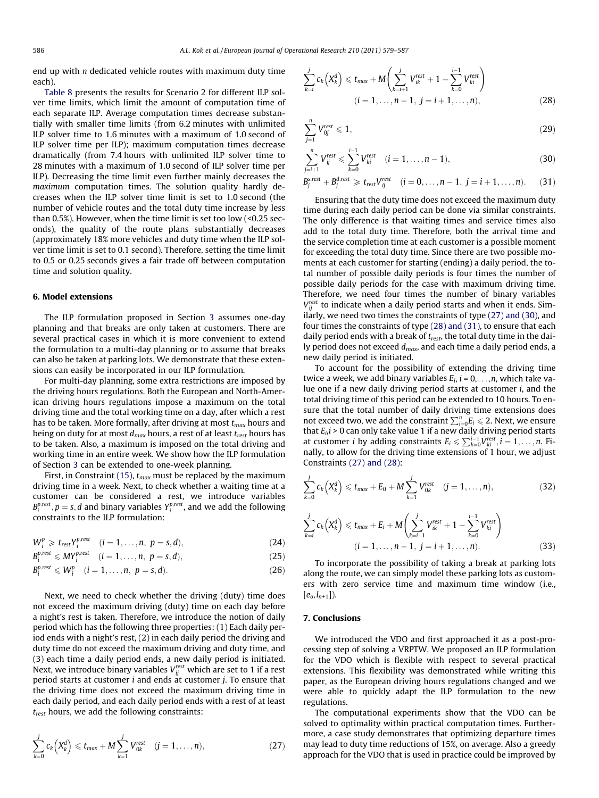<span id="page-7-0"></span>end up with  $n$  dedicated vehicle routes with maximum duty time each).

[Table 8](#page-6-0) presents the results for Scenario 2 for different ILP solver time limits, which limit the amount of computation time of each separate ILP. Average computation times decrease substantially with smaller time limits (from 6.2 minutes with unlimited ILP solver time to 1.6 minutes with a maximum of 1.0 second of ILP solver time per ILP); maximum computation times decrease dramatically (from 7.4 hours with unlimited ILP solver time to 28 minutes with a maximum of 1.0 second of ILP solver time per ILP). Decreasing the time limit even further mainly decreases the maximum computation times. The solution quality hardly decreases when the ILP solver time limit is set to 1.0 second (the number of vehicle routes and the total duty time increase by less than 0.5%). However, when the time limit is set too low (<0.25 seconds), the quality of the route plans substantially decreases (approximately 18% more vehicles and duty time when the ILP solver time limit is set to 0.1 second). Therefore, setting the time limit to 0.5 or 0.25 seconds gives a fair trade off between computation time and solution quality.

#### 6. Model extensions

The ILP formulation proposed in Section [3](#page-2-0) assumes one-day planning and that breaks are only taken at customers. There are several practical cases in which it is more convenient to extend the formulation to a multi-day planning or to assume that breaks can also be taken at parking lots. We demonstrate that these extensions can easily be incorporated in our ILP formulation.

For multi-day planning, some extra restrictions are imposed by the driving hours regulations. Both the European and North-American driving hours regulations impose a maximum on the total driving time and the total working time on a day, after which a rest has to be taken. More formally, after driving at most  $t_{max}$  hours and being on duty for at most  $d_{max}$  hours, a rest of at least  $t_{rest}$  hours has to be taken. Also, a maximum is imposed on the total driving and working time in an entire week. We show how the ILP formulation of Section [3](#page-2-0) can be extended to one-week planning.

First, in Constraint (15),  $t_{max}$  must be replaced by the maximum driving time in a week. Next, to check whether a waiting time at a customer can be considered a rest, we introduce variables  $B_i^{p,rest}, p=s,d$  and binary variables  $Y_i^{p,rest}$ , and we add the following constraints to the ILP formulation:

$$
W_i^p \geq t_{rest} Y_i^{p,rest} \quad (i = 1, \ldots, n, p = s, d), \tag{24}
$$

$$
B_i^{p, rest} \leqslant M Y_i^{p, rest} \quad (i = 1, \ldots, n, p = s, d), \tag{25}
$$

$$
B_i^{p, rest} \leqslant W_i^p \quad (i = 1, \ldots, n, \ p = s, d). \tag{26}
$$

Next, we need to check whether the driving (duty) time does not exceed the maximum driving (duty) time on each day before a night's rest is taken. Therefore, we introduce the notion of daily period which has the following three properties: (1) Each daily period ends with a night's rest, (2) in each daily period the driving and duty time do not exceed the maximum driving and duty time, and (3) each time a daily period ends, a new daily period is initiated. Next, we introduce binary variables  $V_{ij}^{\rm rest}$  which are set to 1 if a rest period starts at customer i and ends at customer j. To ensure that the driving time does not exceed the maximum driving time in each daily period, and each daily period ends with a rest of at least  $t_{rest}$  hours, we add the following constraints:

$$
\sum_{k=0}^{j} c_k \left( X_k^d \right) \leq t_{\text{max}} + M \sum_{k=1}^{j} V_{0k}^{\text{rest}} \quad (j = 1, \dots, n), \tag{27}
$$

$$
\sum_{k=i}^{j} c_k \left( X_k^d \right) \leq t_{\text{max}} + M \left( \sum_{k=i+1}^{j} V_{ik}^{\text{rest}} + 1 - \sum_{k=0}^{i-1} V_{ki}^{\text{rest}} \right) \tag{28}
$$

$$
\sum_{j=1}^{n} V_{0j}^{\text{rest}} \leqslant 1,\tag{29}
$$

$$
\sum_{j=i+1}^{n} V_{ij}^{rest} \leqslant \sum_{k=0}^{i-1} V_{ki}^{rest} \quad (i=1,\ldots,n-1), \tag{30}
$$

$$
B_j^{s,rest}+B_j^{d,rest} \geqslant t_{rest}V_{ij}^{rest} \quad (i=0,\ldots,n-1,\ j=i+1,\ldots,n). \eqno(31)
$$

Ensuring that the duty time does not exceed the maximum duty time during each daily period can be done via similar constraints. The only difference is that waiting times and service times also add to the total duty time. Therefore, both the arrival time and the service completion time at each customer is a possible moment for exceeding the total duty time. Since there are two possible moments at each customer for starting (ending) a daily period, the total number of possible daily periods is four times the number of possible daily periods for the case with maximum driving time. Therefore, we need four times the number of binary variables  $V_{ij}^{rest}$  to indicate when a daily period starts and when it ends. Similarly, we need two times the constraints of type (27) and (30), and four times the constraints of type (28) and (31), to ensure that each daily period ends with a break of  $t_{rest}$ , the total duty time in the daily period does not exceed  $d_{max}$ , and each time a daily period ends, a new daily period is initiated.

To account for the possibility of extending the driving time twice a week, we add binary variables  $E_i$ ,  $i = 0, \ldots, n$ , which take value one if a new daily driving period starts at customer i, and the total driving time of this period can be extended to 10 hours. To ensure that the total number of daily driving time extensions does not exceed two, we add the constraint  $\sum_{i=0}^{n} E_i \le 2$ . Next, we ensure that  $E_i$ ,  $i > 0$  can only take value 1 if a new daily driving period starts at customer *i* by adding constraints  $E_i \leq \sum_{k=0}^{i-1} V_{ki}^{rest}, i = 1, ..., n$ . Finally, to allow for the driving time extensions of 1 hour, we adjust Constraints (27) and (28):

$$
\sum_{k=0}^{j} c_k \left(X_k^d\right) \leq t_{\text{max}} + E_0 + M \sum_{k=1}^{j} V_{0k}^{\text{rest}} \quad (j = 1, \dots, n), \tag{32}
$$
\n
$$
\sum_{k=1}^{j} c_k \left(X_k^d\right) \leq t_{\text{max}} + E_i + M \left(\sum_{k=1}^{j} V_{ik}^{\text{rest}} + 1 - \sum_{k=1}^{i-1} V_{ki}^{\text{rest}}\right)
$$

$$
\sum_{k=i} c_k \left( X_k^u \right) \leq t_{\max} + E_i + M \left( \sum_{k=i+1} V_{ik}^{rest} + 1 - \sum_{k=0} V_{ki}^{rest} \right)
$$
\n
$$
(i = 1, \dots, n-1, j = i+1, \dots, n). \tag{33}
$$

To incorporate the possibility of taking a break at parking lots along the route, we can simply model these parking lots as customers with zero service time and maximum time window (i.e.,  $[e_o, l_{n+1}].$ 

## 7. Conclusions

We introduced the VDO and first approached it as a post-processing step of solving a VRPTW. We proposed an ILP formulation for the VDO which is flexible with respect to several practical extensions. This flexibility was demonstrated while writing this paper, as the European driving hours regulations changed and we were able to quickly adapt the ILP formulation to the new regulations.

The computational experiments show that the VDO can be solved to optimality within practical computation times. Furthermore, a case study demonstrates that optimizing departure times may lead to duty time reductions of 15%, on average. Also a greedy approach for the VDO that is used in practice could be improved by